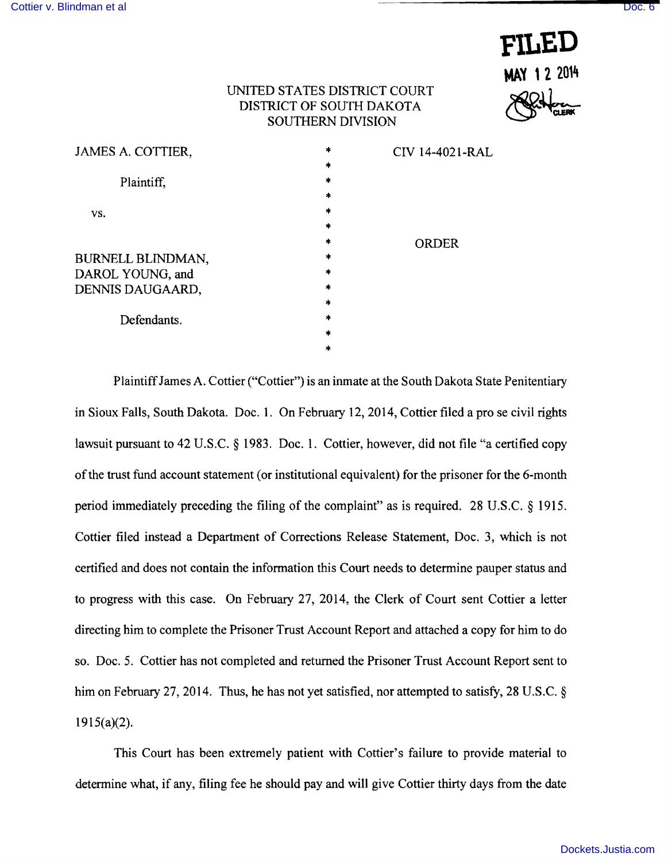

## UNITED STATES DISTRICT COURT DISTRICT OF SOUTH DAKOTA SOUTHERN DIVISION

| JAMES A. COTTIER, | $\star$       | CIV 14-4021-RAL |
|-------------------|---------------|-----------------|
|                   | $\ast$        |                 |
| Plaintiff.        | $\ast$        |                 |
|                   | $\frac{1}{2}$ |                 |
| VS.               | ∗             |                 |
|                   | $\ast$        |                 |
|                   | *             | <b>ORDER</b>    |
| BURNELL BLINDMAN, | $\ast$        |                 |
| DAROL YOUNG, and  | $\ast$        |                 |
| DENNIS DAUGAARD,  | $\ast$        |                 |
|                   | $\ast$        |                 |
| Defendants.       | $\ast$        |                 |
|                   | $\ast$        |                 |
|                   | $\ast$        |                 |
|                   |               |                 |

Plaintiff James A. Cottier ("Cottier") is an inmate at the South Dakota State Penitentiary in Sioux Falls, South Dakota. Doc. 1. On February 12, 2014, Cottier filed a pro se civil rights lawsuit pursuant to 42 U.S.C. § 1983. Doc. 1. Cottier, however, did not file "a certified copy of the trust fund account statement (or institutional equivalent) for the prisoner for the 6-month period immediately preceding the filing of the complaint" as is required. 28 U.S.C. § 1915. Cottier filed instead a Department of Corrections Release Statement, Doc. 3, which is not certified and does not contain the information this Court needs to determine pauper status and to progress with this case. On February 27, 2014, the Clerk of Court sent Cottier a letter directing him to complete the Prisoner Trust Account Report and attached a copy for him to do so. Doc. 5. Cottier has not completed and returned the Prisoner Trust Account Report sent to him on February 27, 2014. Thus, he has not yet satisfied, nor attempted to satisfy, 28 U.S.C. §  $1915(a)(2)$ .

This Court has been extremely patient with Cottier's failure to provide material to determine what, if any, filing fee he should pay and will give Cottier thirty days from the date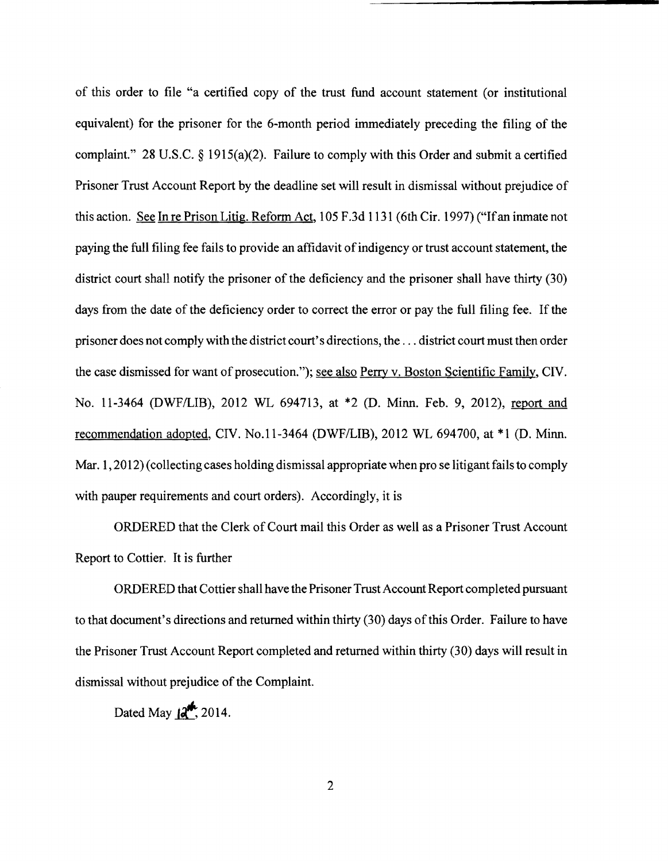of this order to file "a certified copy of the trust fund account statement (or institutional equivalent) for the prisoner for the 6-month period immediately preceding the filing of the complaint." 28 U.S.C. § 1915(a)(2). Failure to comply with this Order and submit a certified Prisoner Trust Account Report by the deadline set will result in dismissal without prejudice of this action. See In re Prison Litig. Reform Act, 105 F.3d 1131 (6th Cir. 1997) ("If an inmate not paying the full filing fee fails to provide an affidavit of indigency or trust account statement, the district court shall notify the prisoner of the deficiency and the prisoner shall have thirty (30) days from the date of the deficiency order to correct the error or pay the full filing fee. If the prisoner does not comply with the district court's directions, the ... district court must then order the case dismissed for want of prosecution."); see also Perry v. Boston Scientific Family, CIV. No. 11-3464 (DWF/LIB), 2012 WL 694713, at \*2 (D. Minn. Feb. 9, 2012), report and recommendation adopted, CIV. No.1 1-3464 (DWFILIB), 2012 WL 694700, at \*1 (D. Minn. Mar. 1, 2012) (collecting cases holding dismissal appropriate when pro se litigant fails to comply with pauper requirements and court orders). Accordingly, it is

ORDERED that the Clerk of Court mail this Order as well as a Prisoner Trust Account Report to Cottier. It is further

ORDERED that Cottier shall have the Prisoner Trust Account Report completed pursuant to that document's directions and returned within thirty (30) days of this Order. Failure to have the Prisoner Trust Account Report completed and returned within thirty (30) days will result in dismissal without prejudice of the Complaint.

Dated May  $12^{4}$ , 2014.